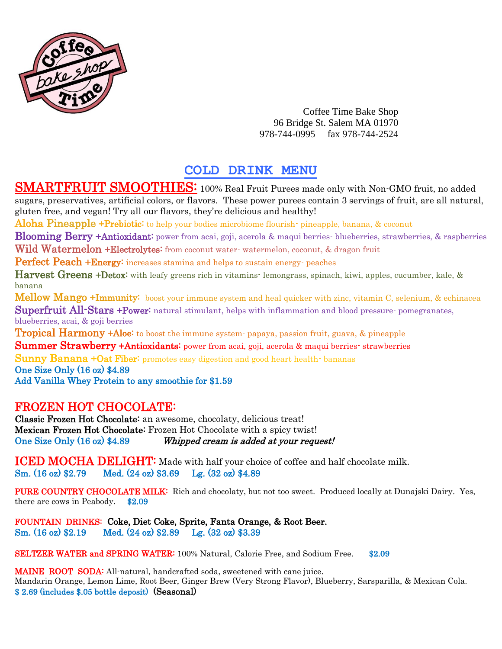

Coffee Time Bake Shop 96 Bridge St. Salem MA 01970 978-744-0995 fax 978-744-2524

## **COLD DRINK MENU**

SMARTFRUIT SMOOTHIES: 100% Real Fruit Purees made only with Non-GMO fruit, no added sugars, preservatives, artificial colors, or flavors. These power purees contain 3 servings of fruit, are all natural, gluten free, and vegan! Try all our flavors, they're delicious and healthy!

Aloha Pineapple +Prebiotic: to help your bodies microbiome flourish-pineapple, banana, & coconut

**Blooming Berry +Antioxidant:** power from acai, goji, acerola & maqui berries- blueberries, strawberries, & raspberries

Wild Watermelon +Electrolytes: from coconut water- watermelon, coconut, & dragon fruit

Perfect Peach +Energy: increases stamina and helps to sustain energy- peaches

Harvest Greens +Detox: with leafy greens rich in vitamins-lemongrass, spinach, kiwi, apples, cucumber, kale, & banana

Mellow Mango +Immunity: boost your immune system and heal quicker with zinc, vitamin C, selenium, & echinacea Superfruit All-Stars +Power: natural stimulant, helps with inflammation and blood pressure- pomegranates, blueberries, acai, & goji berries

**Tropical Harmony +Aloe:** to boost the immune system- papaya, passion fruit, guava, & pineapple

**Summer Strawberry +Antioxidants:** power from acai, goji, acerola & maqui berries- strawberries

**Sunny Banana +Oat Fiber:** promotes easy digestion and good heart health- bananas One Size Only (16 oz) \$4.89 Add Vanilla Whey Protein to any smoothie for \$1.59

## FROZEN HOT CHOCOLATE:

Classic Frozen Hot Chocolate: an awesome, chocolaty, delicious treat! Mexican Frozen Hot Chocolate: Frozen Hot Chocolate with a spicy twist! One Size Only (16 oz) \$4.89 Whipped cream is added at your request!

ICED MOCHA DELIGHT: Made with half your choice of coffee and half chocolate milk. Sm. (16 oz) \$2.79 Med. (24 oz) \$3.69 Lg. (32 oz) \$4.89

PURE COUNTRY CHOCOLATE MILK: Rich and chocolaty, but not too sweet. Produced locally at Dunajski Dairy. Yes, there are cows in Peabody. \$2.09

FOUNTAIN DRINKS: Coke, Diet Coke, Sprite, Fanta Orange, & Root Beer. Sm. (16 oz) \$2.19 Med. (24 oz) \$2.89 Lg. (32 oz) \$3.39

SELTZER WATER and SPRING WATER: 100% Natural, Calorie Free, and Sodium Free. \$2.09

MAINE ROOT SODA: All-natural, handcrafted soda, sweetened with cane juice. Mandarin Orange, Lemon Lime, Root Beer, Ginger Brew (Very Strong Flavor), Blueberry, Sarsparilla, & Mexican Cola. \$ 2.69 (includes \$.05 bottle deposit) (Seasonal)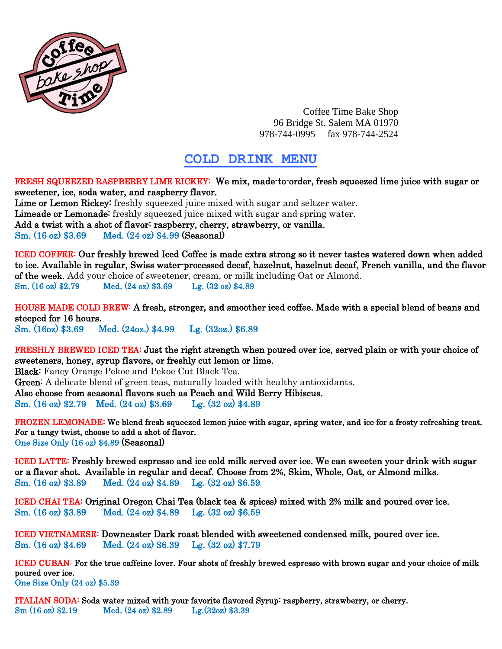

Coffee Time Bake Shop 96 Bridge St. Salem MA 01970 978-744-0995 fax 978-744-2524

## **COLD DRINK MENU**

FRESH SQUEEZED RASPBERRY LIME RICKEY: We mix, made-to-order, fresh squeezed lime juice with sugar or sweetener, ice, soda water, and raspberry flavor.

Lime or Lemon Rickey: freshly squeezed juice mixed with sugar and seltzer water. Limeade or Lemonade: freshly squeezed juice mixed with sugar and spring water. Add a twist with a shot of flavor: raspberry, cherry, strawberry, or vanilla. Sm. (16 oz) \$3.69 Med. (24 oz) \$4.99 (Seasonal)

ICED COFFEE: Our freshly brewed Iced Coffee is made extra strong so it never tastes watered down when added to ice. Available in regular, Swiss water-processed decaf, hazelnut, hazelnut decaf, French vanilla, and the flavor of the week. Add your choice of sweetener, cream, or milk including Oat or Almond. Sm. (16 oz) \$2.79 Med. (24 oz) \$3.69 Lg. (32 oz) \$4.89

HOUSE MADE COLD BREW: A fresh, stronger, and smoother iced coffee. Made with a special blend of beans and steeped for 16 hours. Sm. (16oz) \$3.69 Med. (24oz.) \$4.99 Lg. (32oz.) \$6.89

FRESHLY BREWED ICED TEA: Just the right strength when poured over ice, served plain or with your choice of sweeteners, honey, syrup flavors, or freshly cut lemon or lime.

Black: Fancy Orange Pekoe and Pekoe Cut Black Tea. Green: A delicate blend of green teas, naturally loaded with healthy antioxidants. Also choose from seasonal flavors such as Peach and Wild Berry Hibiscus. Sm. (16 oz) \$2.79 Med. (24 oz) \$3.69 Lg. (32 oz) \$4.89

FROZEN LEMONADE: We blend fresh squeezed lemon juice with sugar, spring water, and ice for a frosty refreshing treat. For a tangy twist, choose to add a shot of flavor. One Size Only (16 oz) \$4.89 (Seasonal)

ICED LATTE: Freshly brewed espresso and ice cold milk served over ice. We can sweeten your drink with sugar or a flavor shot. Available in regular and decaf. Choose from 2%, Skim, Whole, Oat, or Almond milks. Sm. (16 oz) \$3.89 Med. (24 oz) \$4.89 Lg. (32 oz) \$6.59

ICED CHAI TEA: Original Oregon Chai Tea (black tea & spices) mixed with 2% milk and poured over ice. Sm. (16 oz) \$3.89 Med. (24 oz) \$4.89 Lg. (32 oz) \$6.59

ICED VIETNAMESE: Downeaster Dark roast blended with sweetened condensed milk, poured over ice. Sm. (16 oz) \$4.69 Med. (24 oz) \$6.39 Lg. (32 oz) \$7.79

ICED CUBAN: For the true caffeine lover. Four shots of freshly brewed espresso with brown sugar and your choice of milk poured over ice.

One Size Only (24 oz) \$5.39

ITALIAN SODA: Soda water mixed with your favorite flavored Syrup: raspberry, strawberry, or cherry. Sm (16 oz) \$2.19 Med. (24 oz) \$2.89 Lg.(32oz) \$3.39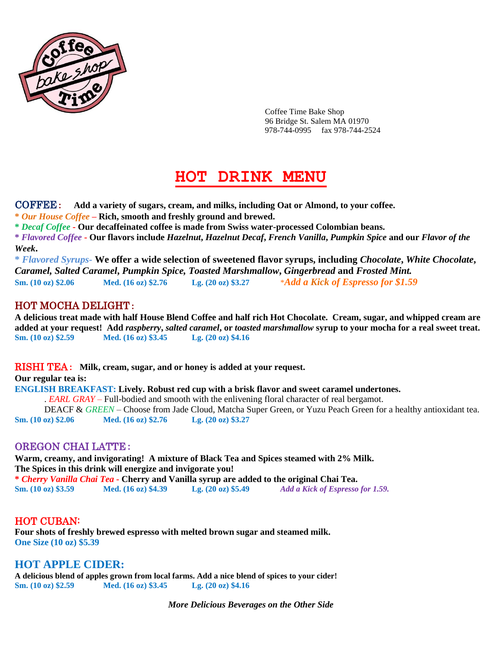

Coffee Time Bake Shop 96 Bridge St. Salem MA 01970 978-744-0995 fax 978-744-2524

# **HOT DRINK MENU**

COFFEE**: Add a variety of sugars, cream, and milks, including Oat or Almond, to your coffee.**

**\*** *Our House Coffee* **– Rich, smooth and freshly ground and brewed.** 

**\*** *Decaf Coffee* **- Our decaffeinated coffee is made from Swiss water-processed Colombian beans.** 

**\*** *Flavored Coffee* **- Our flavors include** *Hazelnut***,** *Hazelnut Decaf***,** *French Vanilla***,** *Pumpkin Spice* **and our** *Flavor of the Week***.** 

**\*** *Flavored Syrups-* **We offer a wide selection of sweetened flavor syrups, including** *Chocolate***,** *White Chocolate***,** *Caramel, Salted Caramel***,** *Pumpkin Spice, Toasted Marshmallow***,** *Gingerbread* **and** *Frosted Mint.* **Sm. (10 oz) \$2.06 Med. (16 oz) \$2.76 Lg. (20 oz) \$3.27** \**Add a Kick of Espresso for \$1.59*

## HOT MOCHA DELIGHT**:**

**A delicious treat made with half House Blend Coffee and half rich Hot Chocolate. Cream, sugar, and whipped cream are added at your request! Add** *raspberry***,** *salted caramel***, or** *toasted marshmallow* **syrup to your mocha for a real sweet treat. Sm. (10 oz) \$2.59 Med. (16 oz) \$3.45 Lg. (20 oz) \$4.16**

RISHI TEA**: Milk, cream, sugar, and or honey is added at your request.** 

**Our regular tea is:**

**ENGLISH BREAKFAST: Lively. Robust red cup with a brisk flavor and sweet caramel undertones.**

. *EARL GRAY* – Full-bodied and smooth with the enlivening floral character of real bergamot.

DEACF & *GREEN* – Choose from Jade Cloud, Matcha Super Green, or Yuzu Peach Green for a healthy antioxidant tea. **Sm. (10 oz) \$2.06 Med. (16 oz) \$2.76 Lg. (20 oz) \$3.27**

## OREGON CHAI LATTE**:**

**Warm, creamy, and invigorating! A mixture of Black Tea and Spices steamed with 2% Milk. The Spices in this drink will energize and invigorate you! \*** *Cherry Vanilla Chai Tea* **- Cherry and Vanilla syrup are added to the original Chai Tea. Sm. (10 oz) \$3.59 Med. (16 oz) \$4.39 Lg. (20 oz) \$5.49** *Add a Kick of Espresso for 1.59.*

## HOT CUBAN:

**Four shots of freshly brewed espresso with melted brown sugar and steamed milk. One Size (10 oz) \$5.39**

## **HOT APPLE CIDER:**

**A delicious blend of apples grown from local farms. Add a nice blend of spices to your cider! Sm. (10 oz) \$2.59 Med. (16 oz) \$3.45 Lg. (20 oz) \$4.16**

*More Delicious Beverages on the Other Side*